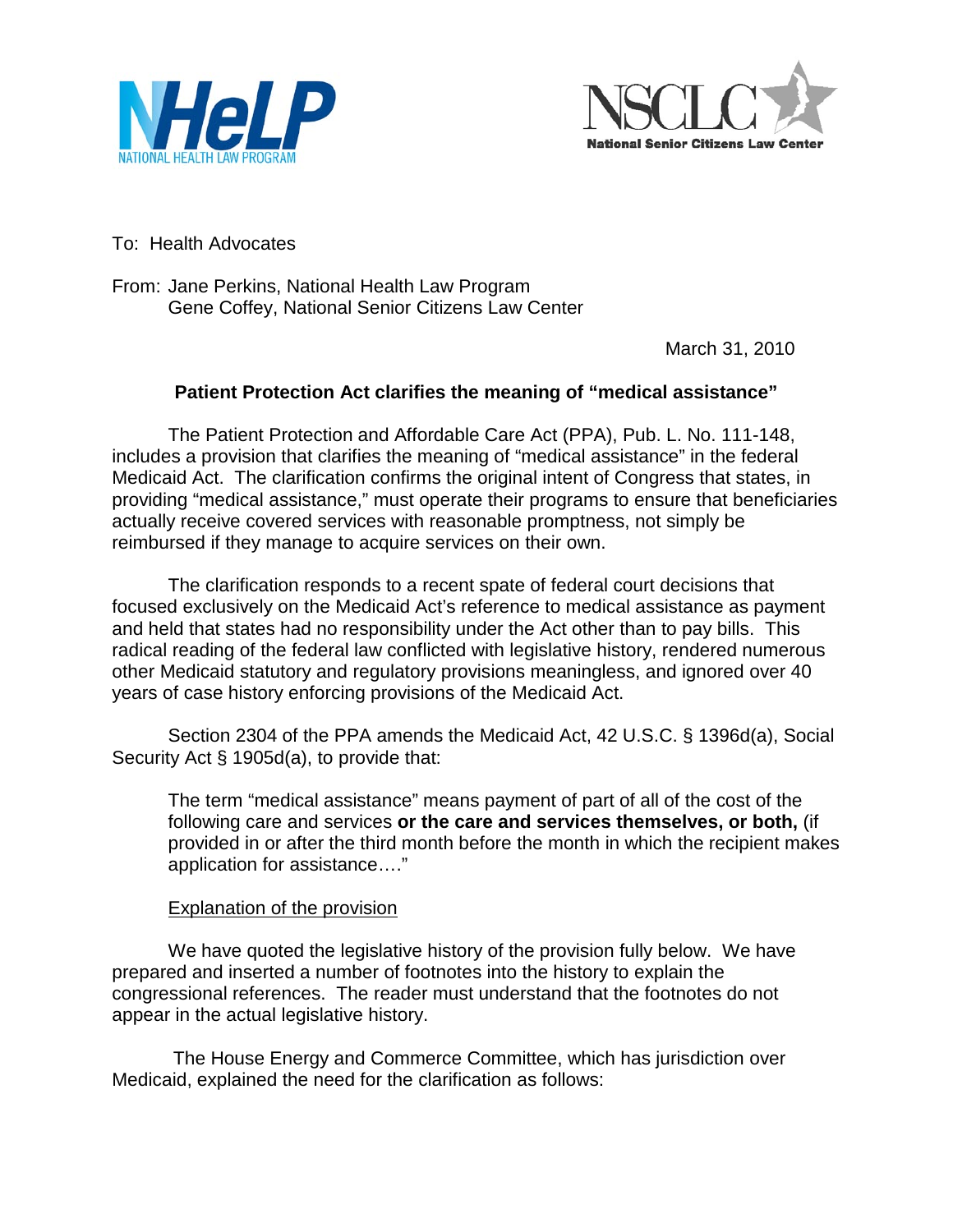



To: Health Advocates

From: Jane Perkins, National Health Law Program Gene Coffey, National Senior Citizens Law Center

March 31, 2010

## **Patient Protection Act clarifies the meaning of "medical assistance"**

The Patient Protection and Affordable Care Act (PPA), Pub. L. No. 111-148, includes a provision that clarifies the meaning of "medical assistance" in the federal Medicaid Act. The clarification confirms the original intent of Congress that states, in providing "medical assistance," must operate their programs to ensure that beneficiaries actually receive covered services with reasonable promptness, not simply be reimbursed if they manage to acquire services on their own.

The clarification responds to a recent spate of federal court decisions that focused exclusively on the Medicaid Act's reference to medical assistance as payment and held that states had no responsibility under the Act other than to pay bills. This radical reading of the federal law conflicted with legislative history, rendered numerous other Medicaid statutory and regulatory provisions meaningless, and ignored over 40 years of case history enforcing provisions of the Medicaid Act.

Section 2304 of the PPA amends the Medicaid Act, 42 U.S.C. § 1396d(a), Social Security Act § 1905d(a), to provide that:

The term "medical assistance" means payment of part of all of the cost of the following care and services **or the care and services themselves, or both,** (if provided in or after the third month before the month in which the recipient makes application for assistance…."

## Explanation of the provision

We have quoted the legislative history of the provision fully below. We have prepared and inserted a number of footnotes into the history to explain the congressional references. The reader must understand that the footnotes do not appear in the actual legislative history.

The House Energy and Commerce Committee, which has jurisdiction over Medicaid, explained the need for the clarification as follows: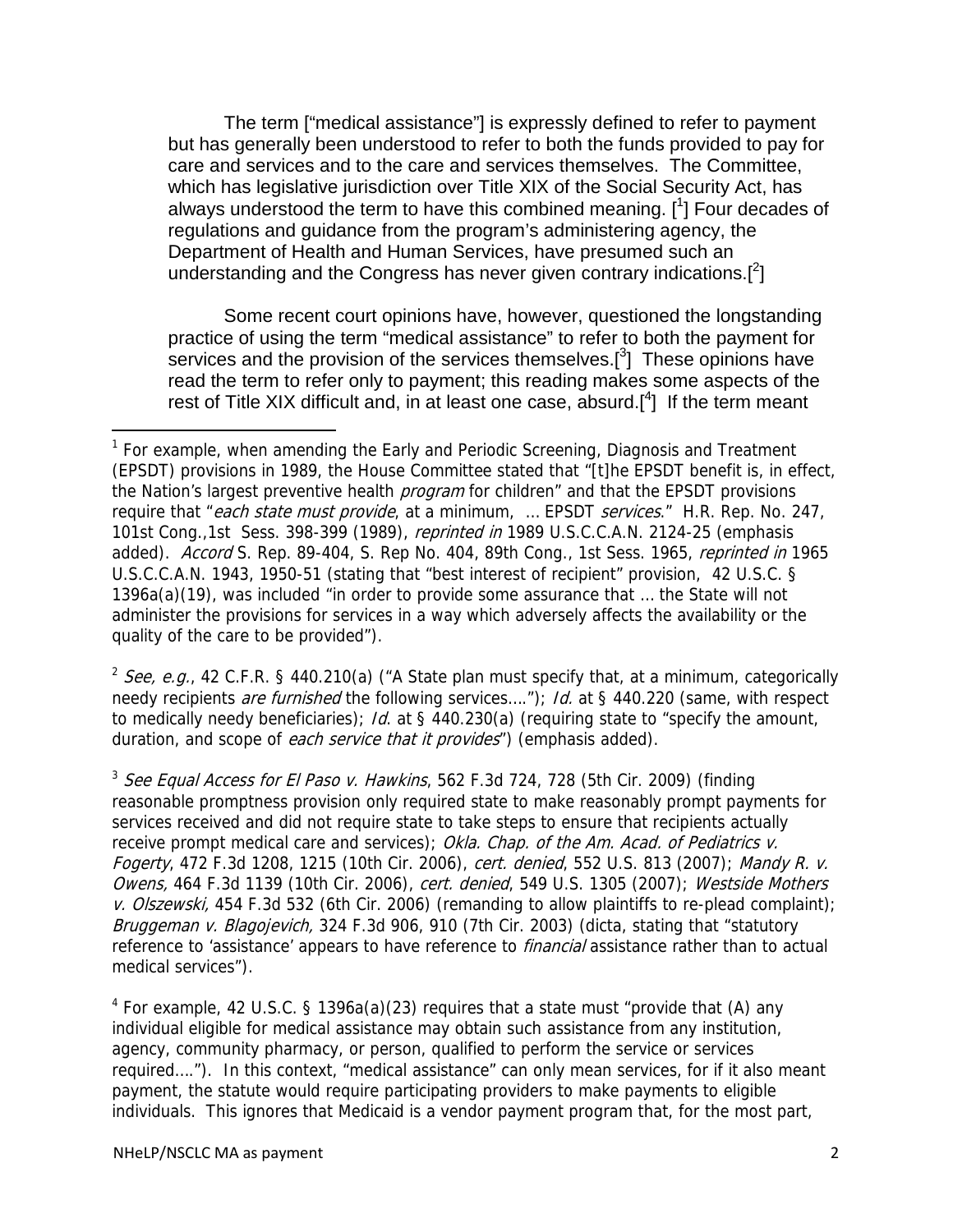The term ["medical assistance"] is expressly defined to refer to payment but has generally been understood to refer to both the funds provided to pay for care and services and to the care and services themselves. The Committee, which has legislative jurisdiction over Title XIX of the Social Security Act, has always understood the term to have this combined meaning. [<sup>1</sup>] Four decades of regulations and guidance from the program's administering agency, the Department of Health and Human Services, have presumed such an understanding and the Congress has never given contrary indications.[<sup>2</sup>]

Some recent court opinions have, however, questioned the longstanding practice of using the term "medical assistance" to refer to both the payment for services and the provision of the services themselves.<sup>[3</sup>] These opinions have read the term to refer only to payment; this reading makes some aspects of the rest of Title XIX difficult and, in at least one case, absurd.<sup>[4</sup>] If the term meant

<sup>2</sup> See, e.g., 42 C.F.R. § 440.210(a) ("A State plan must specify that, at a minimum, categorically needy recipients are furnished the following services...."); Id. at § 440.220 (same, with respect to medically needy beneficiaries); Id. at  $\S$  440.230(a) (requiring state to "specify the amount, duration, and scope of each service that it provides") (emphasis added).

 $3$  See Equal Access for El Paso v. Hawkins, 562 F.3d 724, 728 (5th Cir. 2009) (finding reasonable promptness provision only required state to make reasonably prompt payments for services received and did not require state to take steps to ensure that recipients actually receive prompt medical care and services); Okla. Chap. of the Am. Acad. of Pediatrics v. Fogerty, 472 F.3d 1208, 1215 (10th Cir. 2006), cert. denied, 552 U.S. 813 (2007); Mandy R. v. Owens, 464 F.3d 1139 (10th Cir. 2006), cert. denied, 549 U.S. 1305 (2007); Westside Mothers v. Olszewski, 454 F.3d 532 (6th Cir. 2006) (remanding to allow plaintiffs to re-plead complaint); Bruggeman v. Blagojevich, 324 F.3d 906, 910 (7th Cir. 2003) (dicta, stating that "statutory reference to 'assistance' appears to have reference to *financial* assistance rather than to actual medical services").

<sup>4</sup> For example, 42 U.S.C. § 1396a(a)(23) requires that a state must "provide that (A) any individual eligible for medical assistance may obtain such assistance from any institution, agency, community pharmacy, or person, qualified to perform the service or services required…."). In this context, "medical assistance" can only mean services, for if it also meant payment, the statute would require participating providers to make payments to eligible individuals.This ignores that Medicaid is a vendor payment program that, for the most part,

ı

 $1$  For example, when amending the Early and Periodic Screening, Diagnosis and Treatment (EPSDT) provisions in 1989, the House Committee stated that "[t]he EPSDT benefit is, in effect, the Nation's largest preventive health *program* for children" and that the EPSDT provisions require that "each state must provide, at a minimum, ... EPSDT services." H.R. Rep. No. 247, 101st Cong.,1st Sess. 398-399 (1989), reprinted in 1989 U.S.C.C.A.N. 2124-25 (emphasis added). Accord S. Rep. 89-404, S. Rep No. 404, 89th Cong., 1st Sess. 1965, reprinted in 1965 U.S.C.C.A.N. 1943, 1950-51 (stating that "best interest of recipient" provision, 42 U.S.C. § 1396a(a)(19), was included "in order to provide some assurance that … the State will not administer the provisions for services in a way which adversely affects the availability or the quality of the care to be provided").